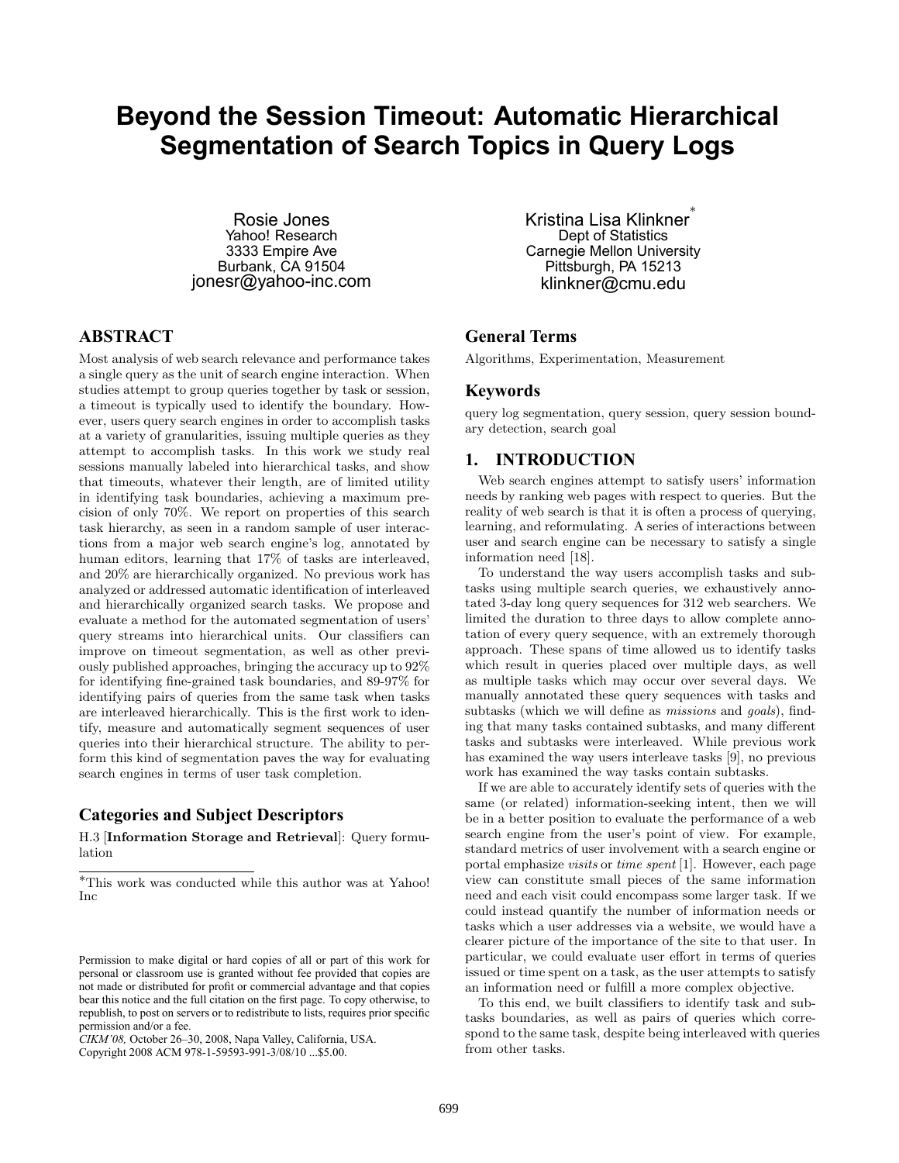# **Beyond the Session Timeout: Automatic Hierarchical Segmentation of Search Topics in Query Logs**

Rosie Jones Yahoo! Research 3333 Empire Ave Burbank, CA 91504 jonesr@yahoo-inc.com

# **ABSTRACT**

Most analysis of web search relevance and performance takes a single query as the unit of search engine interaction. When studies attempt to group queries together by task or session, a timeout is typically used to identify the boundary. However, users query search engines in order to accomplish tasks at a variety of granularities, issuing multiple queries as they attempt to accomplish tasks. In this work we study real sessions manually labeled into hierarchical tasks, and show that timeouts, whatever their length, are of limited utility in identifying task boundaries, achieving a maximum precision of only 70%. We report on properties of this search task hierarchy, as seen in a random sample of user interactions from a major web search engine's log, annotated by human editors, learning that 17% of tasks are interleaved, and 20% are hierarchically organized. No previous work has analyzed or addressed automatic identification of interleaved and hierarchically organized search tasks. We propose and evaluate a method for the automated segmentation of users' query streams into hierarchical units. Our classifiers can improve on timeout segmentation, as well as other previously published approaches, bringing the accuracy up to 92% for identifying fine-grained task boundaries, and 89-97% for identifying pairs of queries from the same task when tasks are interleaved hierarchically. This is the first work to identify, measure and automatically segment sequences of user queries into their hierarchical structure. The ability to perform this kind of segmentation paves the way for evaluating search engines in terms of user task completion.

# **Categories and Subject Descriptors**

H.3 [Information Storage and Retrieval]: Query formulation

*CIKM'08,* October 26–30, 2008, Napa Valley, California, USA.

Copyright 2008 ACM 978-1-59593-991-3/08/10 ...\$5.00.

Kristina Lisa Klinkner ∗ Dept of Statistics Carnegie Mellon University Pittsburgh, PA 15213 klinkner@cmu.edu

# **General Terms**

Algorithms, Experimentation, Measurement

#### **Keywords**

query log segmentation, query session, query session boundary detection, search goal

# **1. INTRODUCTION**

Web search engines attempt to satisfy users' information needs by ranking web pages with respect to queries. But the reality of web search is that it is often a process of querying, learning, and reformulating. A series of interactions between user and search engine can be necessary to satisfy a single information need [18].

To understand the way users accomplish tasks and subtasks using multiple search queries, we exhaustively annotated 3-day long query sequences for 312 web searchers. We limited the duration to three days to allow complete annotation of every query sequence, with an extremely thorough approach. These spans of time allowed us to identify tasks which result in queries placed over multiple days, as well as multiple tasks which may occur over several days. We manually annotated these query sequences with tasks and subtasks (which we will define as *missions* and *goals*), finding that many tasks contained subtasks, and many different tasks and subtasks were interleaved. While previous work has examined the way users interleave tasks [9], no previous work has examined the way tasks contain subtasks.

If we are able to accurately identify sets of queries with the same (or related) information-seeking intent, then we will be in a better position to evaluate the performance of a web search engine from the user's point of view. For example, standard metrics of user involvement with a search engine or portal emphasize visits or time spent [1]. However, each page view can constitute small pieces of the same information need and each visit could encompass some larger task. If we could instead quantify the number of information needs or tasks which a user addresses via a website, we would have a clearer picture of the importance of the site to that user. In particular, we could evaluate user effort in terms of queries issued or time spent on a task, as the user attempts to satisfy an information need or fulfill a more complex objective.

To this end, we built classifiers to identify task and subtasks boundaries, as well as pairs of queries which correspond to the same task, despite being interleaved with queries from other tasks.

<sup>∗</sup>This work was conducted while this author was at Yahoo! Inc

Permission to make digital or hard copies of all or part of this work for personal or classroom use is granted without fee provided that copies are not made or distributed for profit or commercial advantage and that copies bear this notice and the full citation on the first page. To copy otherwise, to republish, to post on servers or to redistribute to lists, requires prior specific permission and/or a fee.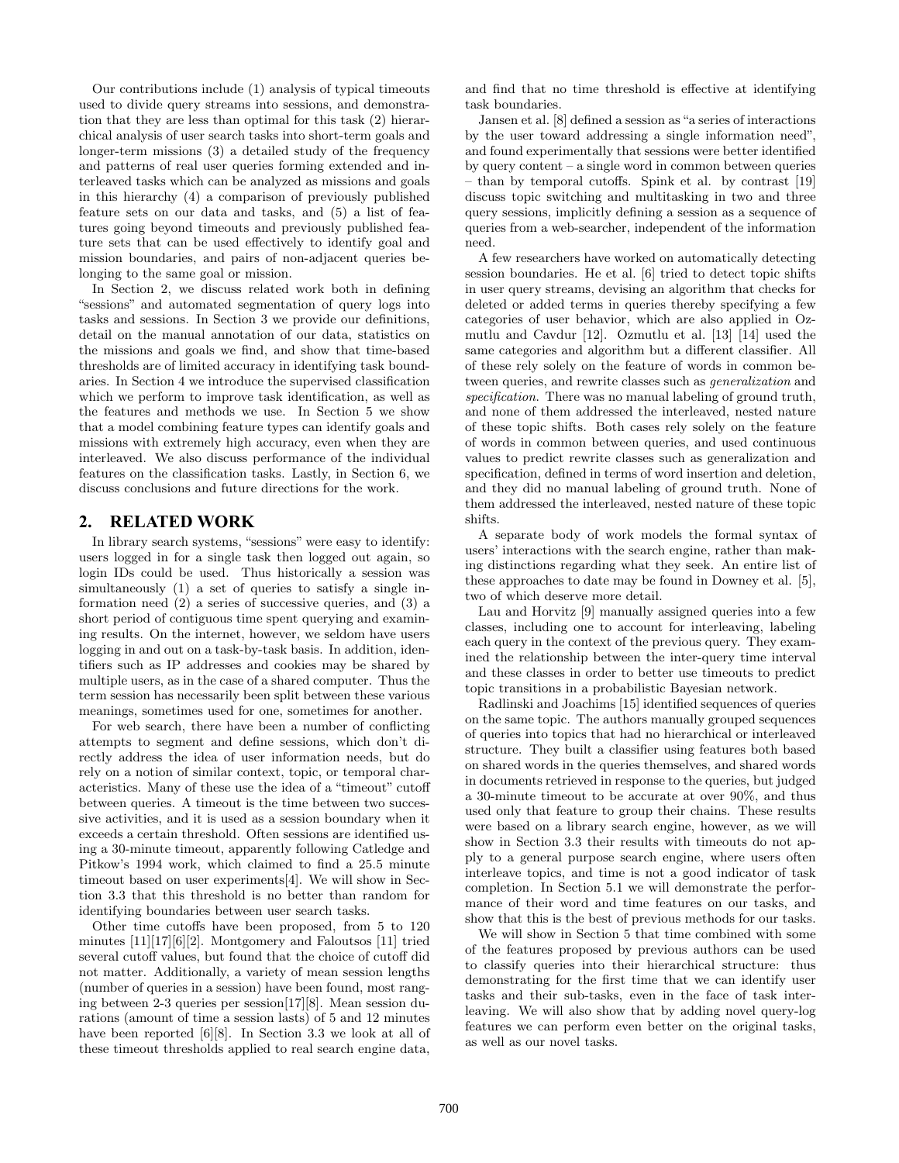Our contributions include (1) analysis of typical timeouts used to divide query streams into sessions, and demonstration that they are less than optimal for this task (2) hierarchical analysis of user search tasks into short-term goals and longer-term missions (3) a detailed study of the frequency and patterns of real user queries forming extended and interleaved tasks which can be analyzed as missions and goals in this hierarchy (4) a comparison of previously published feature sets on our data and tasks, and (5) a list of features going beyond timeouts and previously published feature sets that can be used effectively to identify goal and mission boundaries, and pairs of non-adjacent queries belonging to the same goal or mission.

In Section 2, we discuss related work both in defining "sessions" and automated segmentation of query logs into tasks and sessions. In Section 3 we provide our definitions, detail on the manual annotation of our data, statistics on the missions and goals we find, and show that time-based thresholds are of limited accuracy in identifying task boundaries. In Section 4 we introduce the supervised classification which we perform to improve task identification, as well as the features and methods we use. In Section 5 we show that a model combining feature types can identify goals and missions with extremely high accuracy, even when they are interleaved. We also discuss performance of the individual features on the classification tasks. Lastly, in Section 6, we discuss conclusions and future directions for the work.

# **2. RELATED WORK**

In library search systems, "sessions" were easy to identify: users logged in for a single task then logged out again, so login IDs could be used. Thus historically a session was simultaneously  $(1)$  a set of queries to satisfy a single information need (2) a series of successive queries, and (3) a short period of contiguous time spent querying and examining results. On the internet, however, we seldom have users logging in and out on a task-by-task basis. In addition, identifiers such as IP addresses and cookies may be shared by multiple users, as in the case of a shared computer. Thus the term session has necessarily been split between these various meanings, sometimes used for one, sometimes for another.

For web search, there have been a number of conflicting attempts to segment and define sessions, which don't directly address the idea of user information needs, but do rely on a notion of similar context, topic, or temporal characteristics. Many of these use the idea of a "timeout" cutoff between queries. A timeout is the time between two successive activities, and it is used as a session boundary when it exceeds a certain threshold. Often sessions are identified using a 30-minute timeout, apparently following Catledge and Pitkow's 1994 work, which claimed to find a 25.5 minute timeout based on user experiments[4]. We will show in Section 3.3 that this threshold is no better than random for identifying boundaries between user search tasks.

Other time cutoffs have been proposed, from 5 to 120 minutes [11][17][6][2]. Montgomery and Faloutsos [11] tried several cutoff values, but found that the choice of cutoff did not matter. Additionally, a variety of mean session lengths (number of queries in a session) have been found, most ranging between 2-3 queries per session[17][8]. Mean session durations (amount of time a session lasts) of 5 and 12 minutes have been reported [6][8]. In Section 3.3 we look at all of these timeout thresholds applied to real search engine data,

and find that no time threshold is effective at identifying task boundaries.

Jansen et al. [8] defined a session as "a series of interactions by the user toward addressing a single information need", and found experimentally that sessions were better identified by query content – a single word in common between queries – than by temporal cutoffs. Spink et al. by contrast [19] discuss topic switching and multitasking in two and three query sessions, implicitly defining a session as a sequence of queries from a web-searcher, independent of the information need.

A few researchers have worked on automatically detecting session boundaries. He et al. [6] tried to detect topic shifts in user query streams, devising an algorithm that checks for deleted or added terms in queries thereby specifying a few categories of user behavior, which are also applied in Ozmutlu and Cavdur [12]. Ozmutlu et al. [13] [14] used the same categories and algorithm but a different classifier. All of these rely solely on the feature of words in common between queries, and rewrite classes such as generalization and specification. There was no manual labeling of ground truth, and none of them addressed the interleaved, nested nature of these topic shifts. Both cases rely solely on the feature of words in common between queries, and used continuous values to predict rewrite classes such as generalization and specification, defined in terms of word insertion and deletion, and they did no manual labeling of ground truth. None of them addressed the interleaved, nested nature of these topic shifts.

A separate body of work models the formal syntax of users' interactions with the search engine, rather than making distinctions regarding what they seek. An entire list of these approaches to date may be found in Downey et al. [5], two of which deserve more detail.

Lau and Horvitz [9] manually assigned queries into a few classes, including one to account for interleaving, labeling each query in the context of the previous query. They examined the relationship between the inter-query time interval and these classes in order to better use timeouts to predict topic transitions in a probabilistic Bayesian network.

Radlinski and Joachims [15] identified sequences of queries on the same topic. The authors manually grouped sequences of queries into topics that had no hierarchical or interleaved structure. They built a classifier using features both based on shared words in the queries themselves, and shared words in documents retrieved in response to the queries, but judged a 30-minute timeout to be accurate at over 90%, and thus used only that feature to group their chains. These results were based on a library search engine, however, as we will show in Section 3.3 their results with timeouts do not apply to a general purpose search engine, where users often interleave topics, and time is not a good indicator of task completion. In Section 5.1 we will demonstrate the performance of their word and time features on our tasks, and show that this is the best of previous methods for our tasks.

We will show in Section 5 that time combined with some of the features proposed by previous authors can be used to classify queries into their hierarchical structure: thus demonstrating for the first time that we can identify user tasks and their sub-tasks, even in the face of task interleaving. We will also show that by adding novel query-log features we can perform even better on the original tasks, as well as our novel tasks.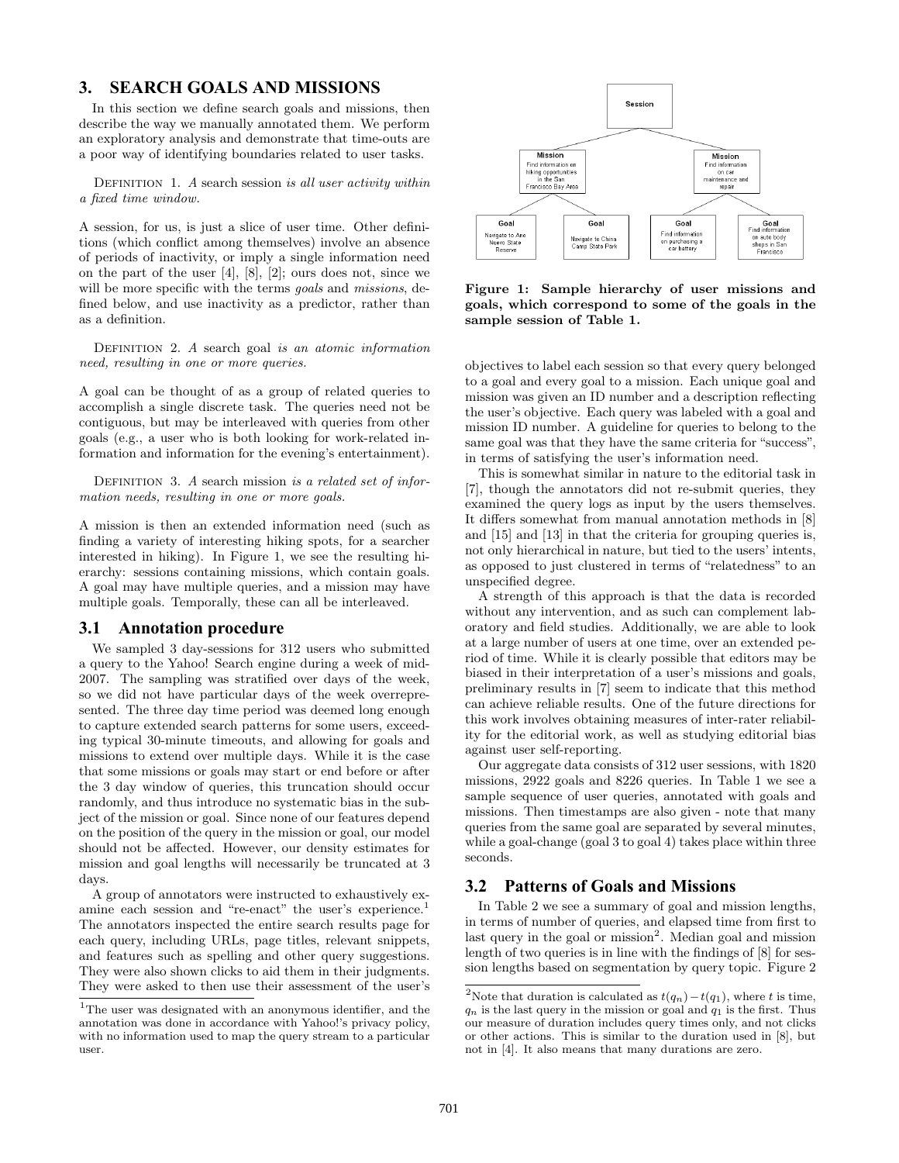# **3. SEARCH GOALS AND MISSIONS**

In this section we define search goals and missions, then describe the way we manually annotated them. We perform an exploratory analysis and demonstrate that time-outs are a poor way of identifying boundaries related to user tasks.

DEFINITION 1. A search session is all user activity within a fixed time window.

A session, for us, is just a slice of user time. Other definitions (which conflict among themselves) involve an absence of periods of inactivity, or imply a single information need on the part of the user [4], [8], [2]; ours does not, since we will be more specific with the terms *goals* and *missions*, defined below, and use inactivity as a predictor, rather than as a definition.

DEFINITION  $2.$  A search goal is an atomic information need, resulting in one or more queries.

A goal can be thought of as a group of related queries to accomplish a single discrete task. The queries need not be contiguous, but may be interleaved with queries from other goals (e.g., a user who is both looking for work-related information and information for the evening's entertainment).

DEFINITION 3. A search mission is a related set of information needs, resulting in one or more goals.

A mission is then an extended information need (such as finding a variety of interesting hiking spots, for a searcher interested in hiking). In Figure 1, we see the resulting hierarchy: sessions containing missions, which contain goals. A goal may have multiple queries, and a mission may have multiple goals. Temporally, these can all be interleaved.

#### **3.1 Annotation procedure**

We sampled 3 day-sessions for 312 users who submitted a query to the Yahoo! Search engine during a week of mid-2007. The sampling was stratified over days of the week, so we did not have particular days of the week overrepresented. The three day time period was deemed long enough to capture extended search patterns for some users, exceeding typical 30-minute timeouts, and allowing for goals and missions to extend over multiple days. While it is the case that some missions or goals may start or end before or after the 3 day window of queries, this truncation should occur randomly, and thus introduce no systematic bias in the subject of the mission or goal. Since none of our features depend on the position of the query in the mission or goal, our model should not be affected. However, our density estimates for mission and goal lengths will necessarily be truncated at 3 days.

A group of annotators were instructed to exhaustively examine each session and "re-enact" the user's experience.<sup>1</sup> The annotators inspected the entire search results page for each query, including URLs, page titles, relevant snippets, and features such as spelling and other query suggestions. They were also shown clicks to aid them in their judgments. They were asked to then use their assessment of the user's



Figure 1: Sample hierarchy of user missions and goals, which correspond to some of the goals in the sample session of Table 1.

objectives to label each session so that every query belonged to a goal and every goal to a mission. Each unique goal and mission was given an ID number and a description reflecting the user's objective. Each query was labeled with a goal and mission ID number. A guideline for queries to belong to the same goal was that they have the same criteria for "success", in terms of satisfying the user's information need.

This is somewhat similar in nature to the editorial task in [7], though the annotators did not re-submit queries, they examined the query logs as input by the users themselves. It differs somewhat from manual annotation methods in [8] and [15] and [13] in that the criteria for grouping queries is, not only hierarchical in nature, but tied to the users' intents, as opposed to just clustered in terms of "relatedness" to an unspecified degree.

A strength of this approach is that the data is recorded without any intervention, and as such can complement laboratory and field studies. Additionally, we are able to look at a large number of users at one time, over an extended period of time. While it is clearly possible that editors may be biased in their interpretation of a user's missions and goals, preliminary results in [7] seem to indicate that this method can achieve reliable results. One of the future directions for this work involves obtaining measures of inter-rater reliability for the editorial work, as well as studying editorial bias against user self-reporting.

Our aggregate data consists of 312 user sessions, with 1820 missions, 2922 goals and 8226 queries. In Table 1 we see a sample sequence of user queries, annotated with goals and missions. Then timestamps are also given - note that many queries from the same goal are separated by several minutes, while a goal-change (goal 3 to goal 4) takes place within three seconds.

## **3.2 Patterns of Goals and Missions**

In Table 2 we see a summary of goal and mission lengths, in terms of number of queries, and elapsed time from first to last query in the goal or mission<sup>2</sup>. Median goal and mission length of two queries is in line with the findings of [8] for session lengths based on segmentation by query topic. Figure 2

 $^{\rm 1}{\rm The}$  user was designated with an anonymous identifier, and the annotation was done in accordance with Yahoo!'s privacy policy, with no information used to map the query stream to a particular user.

<sup>&</sup>lt;sup>2</sup>Note that duration is calculated as  $t(q_n)-t(q_1)$ , where t is time,  $q_n$  is the last query in the mission or goal and  $q_1$  is the first. Thus our measure of duration includes query times only, and not clicks or other actions. This is similar to the duration used in [8], but not in [4]. It also means that many durations are zero.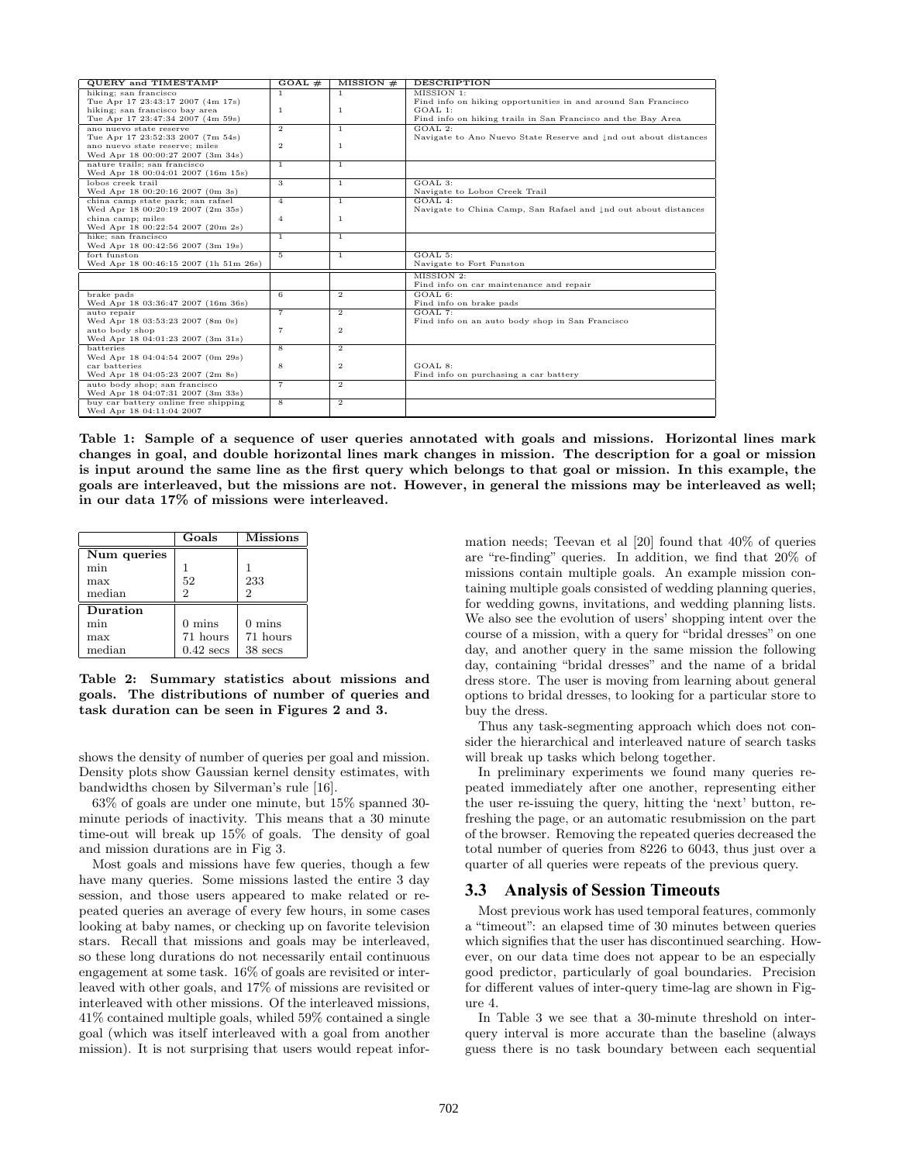| QUERY and TIMESTAMP                   | $GOAL \#$       | MISSION#       | <b>DESCRIPTION</b>                                              |
|---------------------------------------|-----------------|----------------|-----------------------------------------------------------------|
| hiking: san francisco                 | $\mathbf{1}$    | $\mathbf{1}$   | MISSION 1:                                                      |
| Tue Apr 17 23:43:17 2007 (4m 17s)     |                 |                | Find info on hiking opportunities in and around San Francisco   |
| hiking; san francisco bay area        | $\mathbf{1}$    | $\mathbf{1}$   | $GOAL1$ :                                                       |
| Tue Apr 17 23:47:34 2007 (4m 59s)     |                 |                | Find info on hiking trails in San Francisco and the Bay Area    |
| ano nuevo state reserve               | $\overline{2}$  | $\overline{1}$ | GOAL 2:                                                         |
| Tue Apr 17 23:52:33 2007 (7m 54s)     |                 |                | Navigate to Ano Nuevo State Reserve and Ind out about distances |
| ano nuevo state reserve; miles        | $\overline{2}$  | $\overline{1}$ |                                                                 |
| Wed Apr 18 00:00:27 2007 (3m 34s)     |                 |                |                                                                 |
| nature trails; san francisco          | $\mathbf{1}$    | $\mathbf{1}$   |                                                                 |
| Wed Apr 18 00:04:01 2007 (16m 15s)    |                 |                |                                                                 |
| lobos creek trail                     | 3               | $\mathbf{1}$   | $GOAL$ 3:                                                       |
| Wed Apr 18 00:20:16 2007 (0m 3s)      |                 |                | Navigate to Lobos Creek Trail                                   |
| china camp state park; san rafael     | $\overline{4}$  | $\mathbf{1}$   | $GOAL4$ :                                                       |
| Wed Apr 18 00:20:19 2007 (2m 35s)     |                 |                | Navigate to China Camp, San Rafael and Ind out about distances  |
| china camp; miles                     | $\overline{4}$  | $\mathbf{1}$   |                                                                 |
| Wed Apr 18 00:22:54 2007 (20m 2s)     |                 |                |                                                                 |
| hike; san francisco                   | $\mathbf{1}$    | $\mathbf{1}$   |                                                                 |
| Wed Apr 18 00:42:56 2007 (3m 19s)     |                 |                |                                                                 |
| fort funston                          | $\mathbf{5}$    | $\mathbf{1}$   | GOAL 5:                                                         |
| Wed Apr 18 00:46:15 2007 (1h 51m 26s) |                 |                | Navigate to Fort Funston                                        |
|                                       |                 |                | MISSION 2:                                                      |
|                                       |                 |                | Find info on car maintenance and repair                         |
| brake pads                            | $6\overline{6}$ | $\overline{2}$ | GOAL 6:                                                         |
| Wed Apr 18 03:36:47 2007 (16m 36s)    |                 |                | Find info on brake pads                                         |
| auto repair                           | $\overline{7}$  | $\overline{2}$ | GOAL 7:                                                         |
| Wed Apr 18 03:53:23 2007 (8m 0s)      |                 |                | Find info on an auto body shop in San Francisco                 |
| auto body shop                        | 7               | $\overline{2}$ |                                                                 |
| Wed Apr 18 04:01:23 2007 (3m 31s)     |                 |                |                                                                 |
| batteries                             | 8               | $\overline{2}$ |                                                                 |
| Wed Apr 18 04:04:54 2007 (0m 29s)     |                 |                |                                                                 |
| car batteries                         | 8               | $\overline{2}$ | GOAL 8:                                                         |
| Wed Apr 18 04:05:23 2007 (2m 8s)      |                 |                | Find info on purchasing a car battery                           |
| auto body shop; san francisco         | $\overline{7}$  | $\overline{2}$ |                                                                 |
| Wed Apr 18 04:07:31 2007 (3m 33s)     |                 |                |                                                                 |
| buy car battery online free shipping  | 8               | $\overline{2}$ |                                                                 |
| Wed Apr 18 04:11:04 2007              |                 |                |                                                                 |

Table 1: Sample of a sequence of user queries annotated with goals and missions. Horizontal lines mark changes in goal, and double horizontal lines mark changes in mission. The description for a goal or mission is input around the same line as the first query which belongs to that goal or mission. In this example, the goals are interleaved, but the missions are not. However, in general the missions may be interleaved as well; in our data 17% of missions were interleaved.

|             | Goals            | <b>Missions</b>  |
|-------------|------------------|------------------|
| Num queries |                  |                  |
| min         |                  |                  |
| max         | 52               | 233              |
| median      | 2                | 2                |
| Duration    |                  |                  |
| min         | $0 \text{ mins}$ | $0 \text{ mins}$ |
| max         | 71 hours         | 71 hours         |
| median      | $0.42$ secs      | $38$ secs        |

Table 2: Summary statistics about missions and goals. The distributions of number of queries and task duration can be seen in Figures 2 and 3.

shows the density of number of queries per goal and mission. Density plots show Gaussian kernel density estimates, with bandwidths chosen by Silverman's rule [16].

63% of goals are under one minute, but 15% spanned 30 minute periods of inactivity. This means that a 30 minute time-out will break up 15% of goals. The density of goal and mission durations are in Fig 3.

Most goals and missions have few queries, though a few have many queries. Some missions lasted the entire 3 day session, and those users appeared to make related or repeated queries an average of every few hours, in some cases looking at baby names, or checking up on favorite television stars. Recall that missions and goals may be interleaved, so these long durations do not necessarily entail continuous engagement at some task. 16% of goals are revisited or interleaved with other goals, and 17% of missions are revisited or interleaved with other missions. Of the interleaved missions, 41% contained multiple goals, whiled 59% contained a single goal (which was itself interleaved with a goal from another mission). It is not surprising that users would repeat infor-

mation needs; Teevan et al [20] found that 40% of queries are "re-finding" queries. In addition, we find that 20% of missions contain multiple goals. An example mission containing multiple goals consisted of wedding planning queries, for wedding gowns, invitations, and wedding planning lists. We also see the evolution of users' shopping intent over the course of a mission, with a query for "bridal dresses" on one day, and another query in the same mission the following day, containing "bridal dresses" and the name of a bridal dress store. The user is moving from learning about general options to bridal dresses, to looking for a particular store to buy the dress.

Thus any task-segmenting approach which does not consider the hierarchical and interleaved nature of search tasks will break up tasks which belong together.

In preliminary experiments we found many queries repeated immediately after one another, representing either the user re-issuing the query, hitting the 'next' button, refreshing the page, or an automatic resubmission on the part of the browser. Removing the repeated queries decreased the total number of queries from 8226 to 6043, thus just over a quarter of all queries were repeats of the previous query.

#### **3.3 Analysis of Session Timeouts**

Most previous work has used temporal features, commonly a "timeout": an elapsed time of 30 minutes between queries which signifies that the user has discontinued searching. However, on our data time does not appear to be an especially good predictor, particularly of goal boundaries. Precision for different values of inter-query time-lag are shown in Figure 4.

In Table 3 we see that a 30-minute threshold on interquery interval is more accurate than the baseline (always guess there is no task boundary between each sequential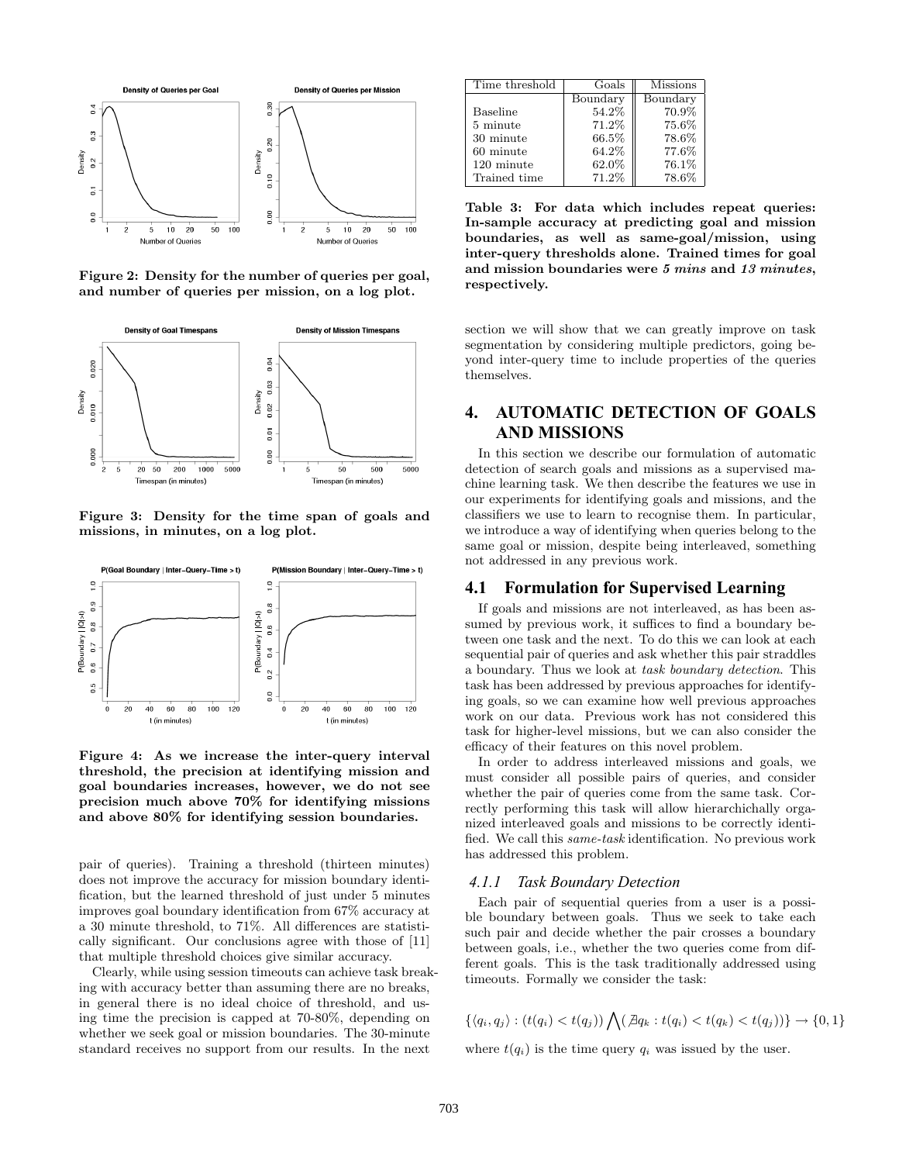

Figure 2: Density for the number of queries per goal, and number of queries per mission, on a log plot.



Figure 3: Density for the time span of goals and missions, in minutes, on a log plot.



Figure 4: As we increase the inter-query interval threshold, the precision at identifying mission and goal boundaries increases, however, we do not see precision much above 70% for identifying missions and above 80% for identifying session boundaries.

pair of queries). Training a threshold (thirteen minutes) does not improve the accuracy for mission boundary identification, but the learned threshold of just under 5 minutes improves goal boundary identification from 67% accuracy at a 30 minute threshold, to 71%. All differences are statistically significant. Our conclusions agree with those of [11] that multiple threshold choices give similar accuracy.

Clearly, while using session timeouts can achieve task breaking with accuracy better than assuming there are no breaks, in general there is no ideal choice of threshold, and using time the precision is capped at 70-80%, depending on whether we seek goal or mission boundaries. The 30-minute standard receives no support from our results. In the next

| Time threshold | Goals    | <b>Missions</b> |
|----------------|----------|-----------------|
|                | Boundary | Boundary        |
| Baseline       | 54.2%    | 70.9%           |
| 5 minute       | 71.2%    | 75.6%           |
| 30 minute      | 66.5%    | 78.6%           |
| 60 minute      | 64.2%    | 77.6%           |
| 120 minute     | 62.0%    | 76.1%           |
| Trained time   | 71.2%    | 78.6%           |

Table 3: For data which includes repeat queries: In-sample accuracy at predicting goal and mission boundaries, as well as same-goal/mission, using inter-query thresholds alone. Trained times for goal and mission boundaries were 5 mins and 13 minutes, respectively.

section we will show that we can greatly improve on task segmentation by considering multiple predictors, going beyond inter-query time to include properties of the queries themselves.

# **4. AUTOMATIC DETECTION OF GOALS AND MISSIONS**

In this section we describe our formulation of automatic detection of search goals and missions as a supervised machine learning task. We then describe the features we use in our experiments for identifying goals and missions, and the classifiers we use to learn to recognise them. In particular, we introduce a way of identifying when queries belong to the same goal or mission, despite being interleaved, something not addressed in any previous work.

#### **4.1 Formulation for Supervised Learning**

If goals and missions are not interleaved, as has been assumed by previous work, it suffices to find a boundary between one task and the next. To do this we can look at each sequential pair of queries and ask whether this pair straddles a boundary. Thus we look at task boundary detection. This task has been addressed by previous approaches for identifying goals, so we can examine how well previous approaches work on our data. Previous work has not considered this task for higher-level missions, but we can also consider the efficacy of their features on this novel problem.

In order to address interleaved missions and goals, we must consider all possible pairs of queries, and consider whether the pair of queries come from the same task. Correctly performing this task will allow hierarchichally organized interleaved goals and missions to be correctly identified. We call this same-task identification. No previous work has addressed this problem.

#### *4.1.1 Task Boundary Detection*

Each pair of sequential queries from a user is a possible boundary between goals. Thus we seek to take each such pair and decide whether the pair crosses a boundary between goals, i.e., whether the two queries come from different goals. This is the task traditionally addressed using timeouts. Formally we consider the task:

$$
\{\langle q_i, q_j \rangle : (t(q_i) < t(q_j)) \bigwedge (\nexists q_k : t(q_i) < t(q_k) < t(q_j)) \} \to \{0, 1\}
$$

where  $t(q_i)$  is the time query  $q_i$  was issued by the user.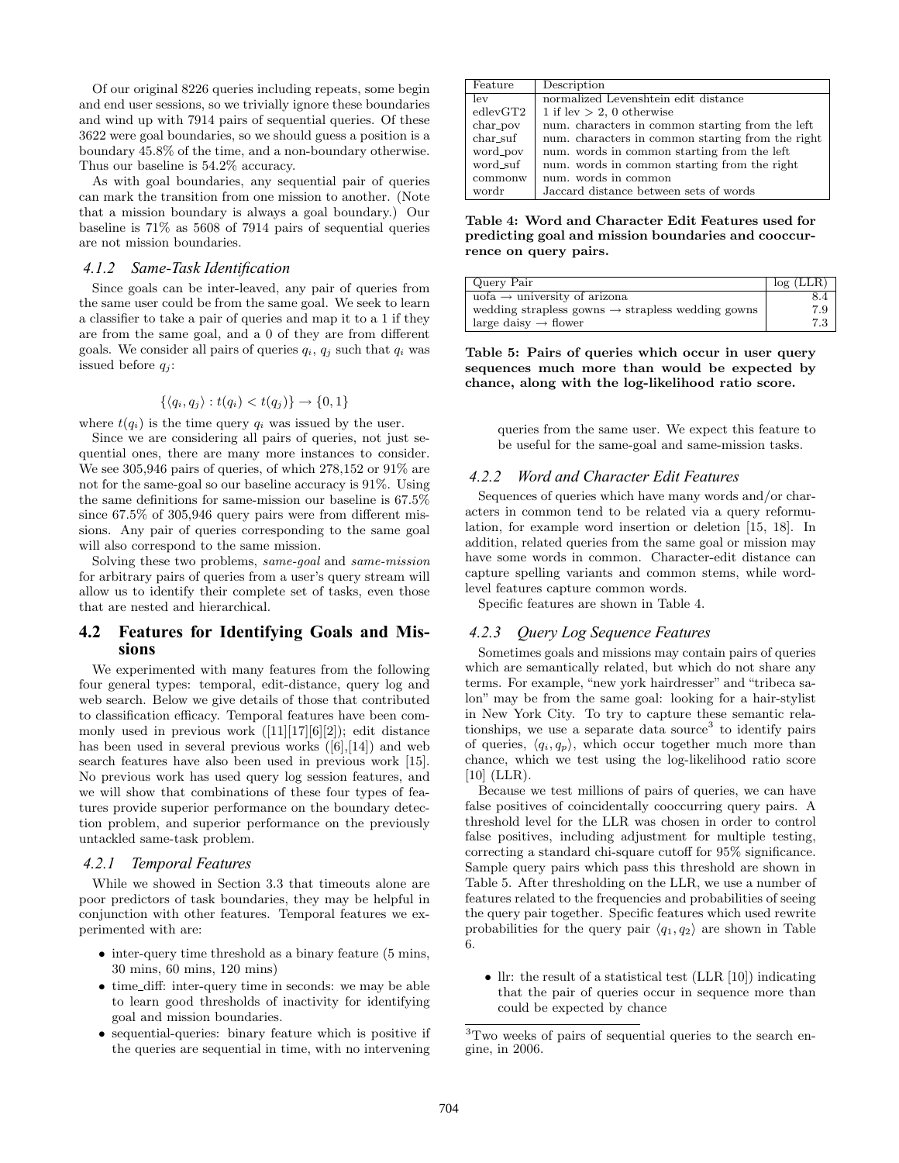Of our original 8226 queries including repeats, some begin and end user sessions, so we trivially ignore these boundaries and wind up with 7914 pairs of sequential queries. Of these 3622 were goal boundaries, so we should guess a position is a boundary 45.8% of the time, and a non-boundary otherwise. Thus our baseline is 54.2% accuracy.

As with goal boundaries, any sequential pair of queries can mark the transition from one mission to another. (Note that a mission boundary is always a goal boundary.) Our baseline is 71% as 5608 of 7914 pairs of sequential queries are not mission boundaries.

#### *4.1.2 Same-Task Identification*

Since goals can be inter-leaved, any pair of queries from the same user could be from the same goal. We seek to learn a classifier to take a pair of queries and map it to a 1 if they are from the same goal, and a 0 of they are from different goals. We consider all pairs of queries  $q_i$ ,  $q_j$  such that  $q_i$  was issued before  $q_i$ :

$$
\{\langle q_i, q_j \rangle : t(q_i) < t(q_j)\} \rightarrow \{0, 1\}
$$

where  $t(q_i)$  is the time query  $q_i$  was issued by the user.

Since we are considering all pairs of queries, not just sequential ones, there are many more instances to consider. We see 305,946 pairs of queries, of which 278,152 or 91% are not for the same-goal so our baseline accuracy is 91%. Using the same definitions for same-mission our baseline is 67.5% since 67.5% of 305,946 query pairs were from different missions. Any pair of queries corresponding to the same goal will also correspond to the same mission.

Solving these two problems, same-goal and same-mission for arbitrary pairs of queries from a user's query stream will allow us to identify their complete set of tasks, even those that are nested and hierarchical.

# **4.2 Features for Identifying Goals and Missions**

We experimented with many features from the following four general types: temporal, edit-distance, query log and web search. Below we give details of those that contributed to classification efficacy. Temporal features have been commonly used in previous work  $([11][17][6][2])$ ; edit distance has been used in several previous works  $([6], [14])$  and web search features have also been used in previous work [15]. No previous work has used query log session features, and we will show that combinations of these four types of features provide superior performance on the boundary detection problem, and superior performance on the previously untackled same-task problem.

#### *4.2.1 Temporal Features*

While we showed in Section 3.3 that timeouts alone are poor predictors of task boundaries, they may be helpful in conjunction with other features. Temporal features we experimented with are:

- inter-query time threshold as a binary feature (5 mins, 30 mins, 60 mins, 120 mins)
- time\_diff: inter-query time in seconds: we may be able to learn good thresholds of inactivity for identifying goal and mission boundaries.
- sequential-queries: binary feature which is positive if the queries are sequential in time, with no intervening

| Feature     | Description                                       |
|-------------|---------------------------------------------------|
| lev         | normalized Levenshtein edit distance              |
| edlevGT2    | 1 if lev $> 2$ , 0 otherwise                      |
| char_pov    | num. characters in common starting from the left  |
| $char\_suf$ | num. characters in common starting from the right |
| word_pov    | num, words in common starting from the left       |
| word_suf    | num, words in common starting from the right      |
| commonw     | num. words in common                              |
| wordr       | Jaccard distance between sets of words            |

Table 4: Word and Character Edit Features used for predicting goal and mission boundaries and cooccurrence on query pairs.

| Query Pair                                                    | log(LLR) |
|---------------------------------------------------------------|----------|
| uofa $\rightarrow$ university of arizona                      | 8.4      |
| wedding strapless gowns $\rightarrow$ strapless wedding gowns | 7.9      |
| large daisy $\rightarrow$ flower                              | 7.3      |

Table 5: Pairs of queries which occur in user query sequences much more than would be expected by chance, along with the log-likelihood ratio score.

queries from the same user. We expect this feature to be useful for the same-goal and same-mission tasks.

### *4.2.2 Word and Character Edit Features*

Sequences of queries which have many words and/or characters in common tend to be related via a query reformulation, for example word insertion or deletion [15, 18]. In addition, related queries from the same goal or mission may have some words in common. Character-edit distance can capture spelling variants and common stems, while wordlevel features capture common words.

Specific features are shown in Table 4.

#### *4.2.3 Query Log Sequence Features*

Sometimes goals and missions may contain pairs of queries which are semantically related, but which do not share any terms. For example, "new york hairdresser" and "tribeca salon" may be from the same goal: looking for a hair-stylist in New York City. To try to capture these semantic relationships, we use a separate data source<sup>3</sup> to identify pairs of queries,  $\langle q_i, q_p \rangle$ , which occur together much more than chance, which we test using the log-likelihood ratio score [10] (LLR).

Because we test millions of pairs of queries, we can have false positives of coincidentally cooccurring query pairs. A threshold level for the LLR was chosen in order to control false positives, including adjustment for multiple testing, correcting a standard chi-square cutoff for 95% significance. Sample query pairs which pass this threshold are shown in Table 5. After thresholding on the LLR, we use a number of features related to the frequencies and probabilities of seeing the query pair together. Specific features which used rewrite probabilities for the query pair  $\langle q_1, q_2 \rangle$  are shown in Table 6.

• Ilr: the result of a statistical test (LLR [10]) indicating that the pair of queries occur in sequence more than could be expected by chance

<sup>3</sup>Two weeks of pairs of sequential queries to the search engine, in 2006.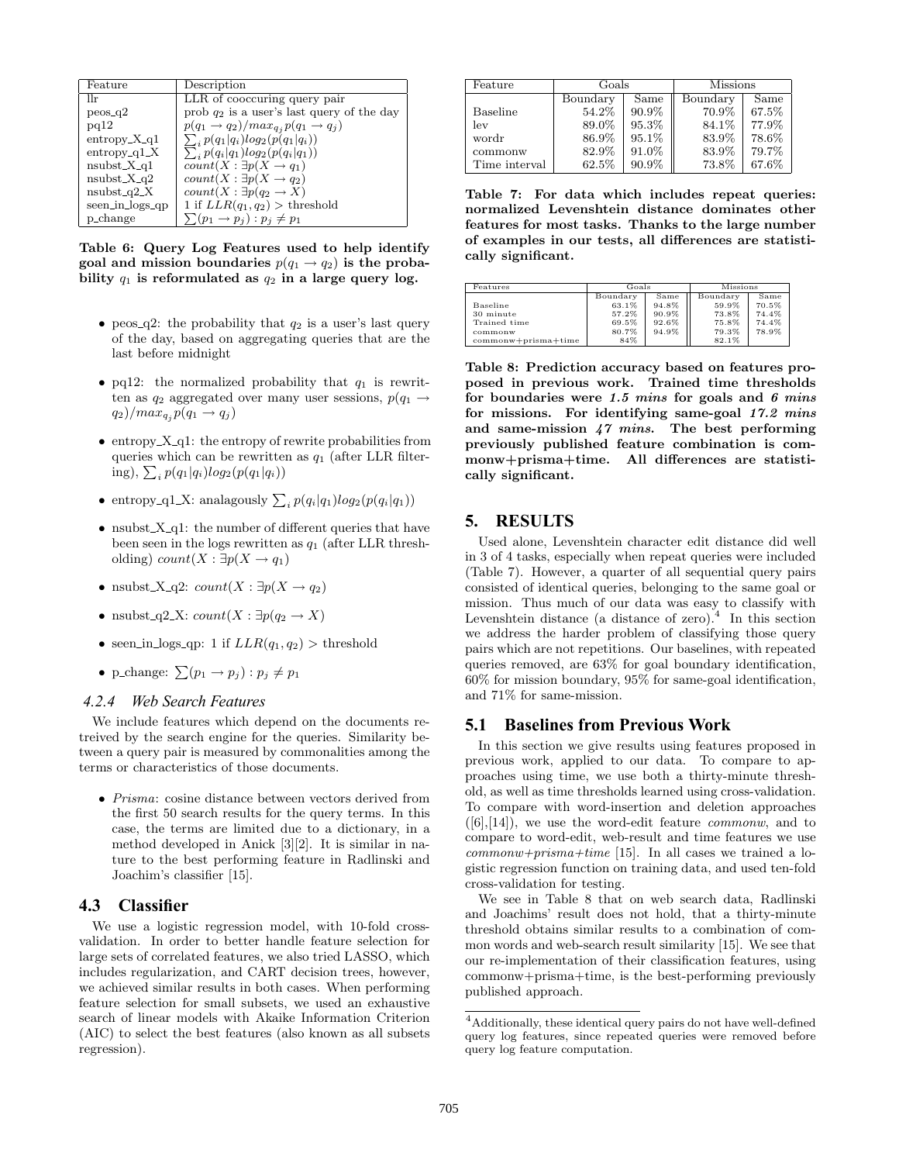| Feature         | Description                                               |
|-----------------|-----------------------------------------------------------|
| $_{\rm llr}$    | LLR of cooccuring query pair                              |
| $peos_q2$       | prob $q_2$ is a user's last query of the day              |
| pq12            | $p(q_1 \rightarrow q_2)/max_{q_i} p(q_1 \rightarrow q_j)$ |
| $entropy_X_q1$  | $\sum_{i} p(q_1 q_i)log_2(p(q_1 q_i))$                    |
| $entropy_q1_X$  | $\sum_{i}^{i} p(q_i q_1)log_2(p(q_i q_1))$                |
| $nsubst_X_q1$   | $count(X : \exists p(X \rightarrow q_1)$                  |
| $nsubst_X_q2$   | $count(X : \exists p(X \rightarrow q_2))$                 |
| $nsubst_q2_X$   | $count(X : \exists p(q_2 \rightarrow X))$                 |
| seen_in_logs_qp | 1 if $LLR(q_1, q_2) >$ threshold                          |
| p_change        | $\sum (p_1 \rightarrow p_i) : p_i \neq p_1$               |

Table 6: Query Log Features used to help identify goal and mission boundaries  $p(q_1 \rightarrow q_2)$  is the probability  $q_1$  is reformulated as  $q_2$  in a large query log.

- peos\_q2: the probability that  $q_2$  is a user's last query of the day, based on aggregating queries that are the last before midnight
- pq12: the normalized probability that  $q_1$  is rewritten as  $q_2$  aggregated over many user sessions,  $p(q_1 \rightarrow$  $q_2$ )/max<sub>qi</sub> p( $q_1 \rightarrow q_j$ )
- entropy X q1: the entropy of rewrite probabilities from queries which can be rewritten as  $q_1$  (after LLR filtering),  $\sum_{i} p(q_1|q_i)log_2(p(q_1|q_i))$
- entropy<sub>-q</sub>1\_X: analagously  $\sum_{i} p(q_i|q_1)log_2(p(q_i|q_1))$
- nsubst $X_q$ 1: the number of different queries that have been seen in the logs rewritten as  $q_1$  (after LLR thresholding)  $count(X : \exists p(X \rightarrow q_1))$
- nsubst\_X\_q2:  $count(X : \exists p(X \rightarrow q_2))$
- nsubst\_q2\_X:  $count(X : \exists p(q_2 \rightarrow X))$
- seen in logs qp: 1 if  $LLR(q_1, q_2) >$  threshold
- p\_change:  $\sum (p_1 \rightarrow p_i) : p_i \neq p_1$

## *4.2.4 Web Search Features*

We include features which depend on the documents retreived by the search engine for the queries. Similarity between a query pair is measured by commonalities among the terms or characteristics of those documents.

• Prisma: cosine distance between vectors derived from the first 50 search results for the query terms. In this case, the terms are limited due to a dictionary, in a method developed in Anick [3][2]. It is similar in nature to the best performing feature in Radlinski and Joachim's classifier [15].

# **4.3 Classifier**

We use a logistic regression model, with 10-fold crossvalidation. In order to better handle feature selection for large sets of correlated features, we also tried LASSO, which includes regularization, and CART decision trees, however, we achieved similar results in both cases. When performing feature selection for small subsets, we used an exhaustive search of linear models with Akaike Information Criterion (AIC) to select the best features (also known as all subsets regression).

| Feature       | Goals    |       | <b>Missions</b> |       |
|---------------|----------|-------|-----------------|-------|
|               | Boundary | Same  | Boundary        | Same  |
| Baseline      | 54.2%    | 90.9% | 70.9%           | 67.5% |
| lev           | 89.0%    | 95.3% | 84.1%           | 77.9% |
| wordr         | 86.9%    | 95.1% | 83.9%           | 78.6% |
| commonw       | 82.9%    | 91.0% | 83.9%           | 79.7% |
| Time interval | 62.5%    | 90.9% | 73.8%           | 67.6% |

Table 7: For data which includes repeat queries: normalized Levenshtein distance dominates other features for most tasks. Thanks to the large number of examples in our tests, all differences are statistically significant.

| Features            | Goals    |       | Missions |       |
|---------------------|----------|-------|----------|-------|
|                     | Boundary | Same  | Boundary | Same  |
| Baseline            | 63.1%    | 94.8% | 59.9%    | 70.5% |
| 30 minute           | 57.2%    | 90.9% | 73.8%    | 74.4% |
| Trained time        | 69.5%    | 92.6% | 75.8%    | 74.4% |
| commonw             | 80.7%    | 94.9% | 79.3%    | 78.9% |
| commonw+prisma+time | 84%      |       | 82.1%    |       |

Table 8: Prediction accuracy based on features proposed in previous work. Trained time thresholds for boundaries were  $1.5$  mins for goals and 6 mins for missions. For identifying same-goal 17.2 mins and same-mission 47 mins. The best performing previously published feature combination is commonw+prisma+time. All differences are statistically significant.

# **5. RESULTS**

Used alone, Levenshtein character edit distance did well in 3 of 4 tasks, especially when repeat queries were included (Table 7). However, a quarter of all sequential query pairs consisted of identical queries, belonging to the same goal or mission. Thus much of our data was easy to classify with Levenshtein distance (a distance of zero). $<sup>4</sup>$  In this section</sup> we address the harder problem of classifying those query pairs which are not repetitions. Our baselines, with repeated queries removed, are 63% for goal boundary identification, 60% for mission boundary, 95% for same-goal identification, and 71% for same-mission.

#### **5.1 Baselines from Previous Work**

In this section we give results using features proposed in previous work, applied to our data. To compare to approaches using time, we use both a thirty-minute threshold, as well as time thresholds learned using cross-validation. To compare with word-insertion and deletion approaches  $([6],[14])$ , we use the word-edit feature *commonw*, and to compare to word-edit, web-result and time features we use  $commonw+prisma+time$  [15]. In all cases we trained a logistic regression function on training data, and used ten-fold cross-validation for testing.

We see in Table 8 that on web search data, Radlinski and Joachims' result does not hold, that a thirty-minute threshold obtains similar results to a combination of common words and web-search result similarity [15]. We see that our re-implementation of their classification features, using commonw+prisma+time, is the best-performing previously published approach.

 $^4\mbox{Additionally, these identical query pairs do not have well-defined}$ query log features, since repeated queries were removed before query log feature computation.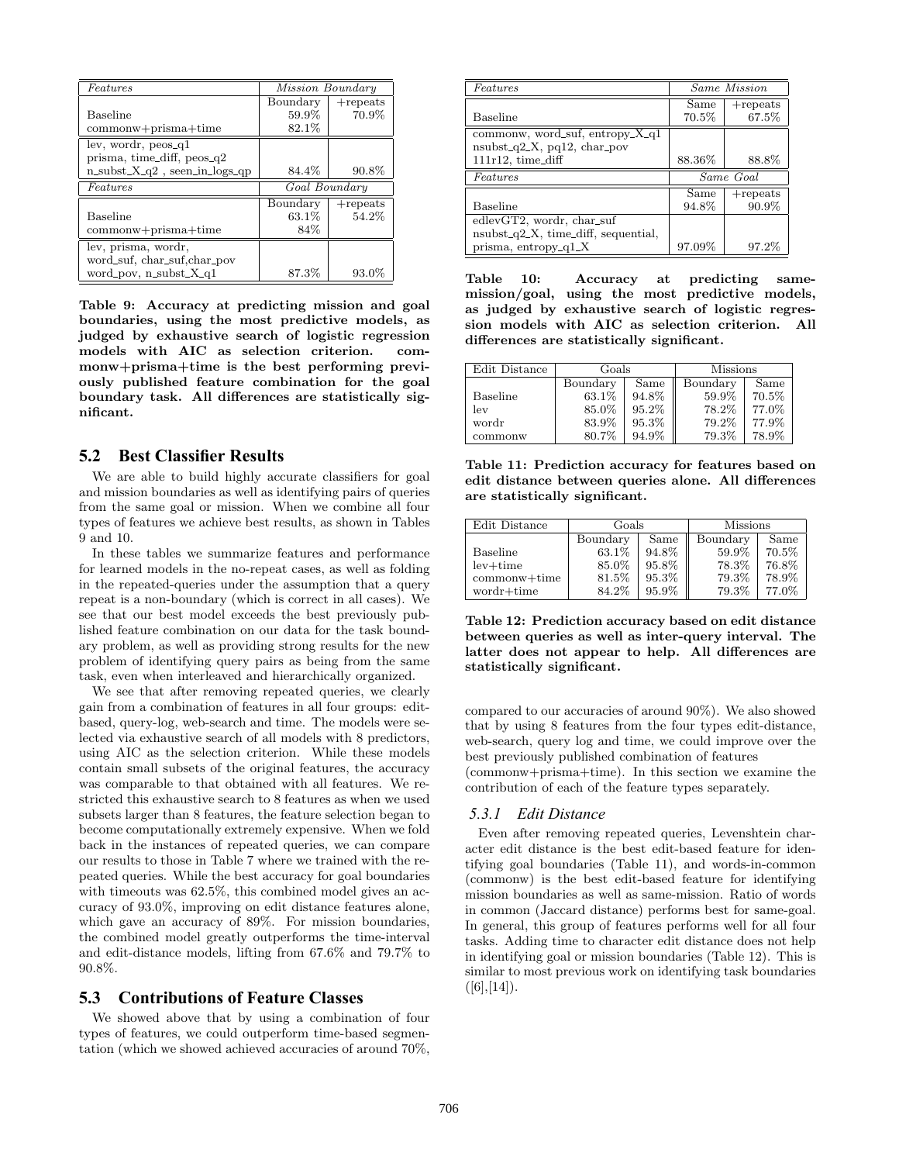| Features                           | Mission Boundary |             |  |
|------------------------------------|------------------|-------------|--|
|                                    | Boundary         | $+$ repeats |  |
| <b>Baseline</b>                    | 59.9%            | 70.9%       |  |
| $commonw+prisma+time$              | 82.1%            |             |  |
| $lev$ , wordr, $peos_q1$           |                  |             |  |
| prisma, time_diff, $peos_q2$       |                  |             |  |
| $n\_subst\_X_q2$ , seen_in_logs_qp | 90.8%<br>84.4%   |             |  |
| Features                           | Goal Boundary    |             |  |
|                                    | Boundary         | $+$ repeats |  |
| Baseline                           | 63.1%            | 54.2%       |  |
| $commonw+prisma+time$              | 84\%             |             |  |
| lev, prisma, wordr,                |                  |             |  |
| word_suf, char_suf, char_pov       |                  |             |  |
| word_pov, $n\_subst\_X_q1$         | 87.3%            | 93.0%       |  |

Table 9: Accuracy at predicting mission and goal boundaries, using the most predictive models, as judged by exhaustive search of logistic regression models with AIC as selection criterion. commonw+prisma+time is the best performing previously published feature combination for the goal boundary task. All differences are statistically significant.

# **5.2 Best Classifier Results**

We are able to build highly accurate classifiers for goal and mission boundaries as well as identifying pairs of queries from the same goal or mission. When we combine all four types of features we achieve best results, as shown in Tables 9 and 10.

In these tables we summarize features and performance for learned models in the no-repeat cases, as well as folding in the repeated-queries under the assumption that a query repeat is a non-boundary (which is correct in all cases). We see that our best model exceeds the best previously published feature combination on our data for the task boundary problem, as well as providing strong results for the new problem of identifying query pairs as being from the same task, even when interleaved and hierarchically organized.

We see that after removing repeated queries, we clearly gain from a combination of features in all four groups: editbased, query-log, web-search and time. The models were selected via exhaustive search of all models with 8 predictors, using AIC as the selection criterion. While these models contain small subsets of the original features, the accuracy was comparable to that obtained with all features. We restricted this exhaustive search to 8 features as when we used subsets larger than 8 features, the feature selection began to become computationally extremely expensive. When we fold back in the instances of repeated queries, we can compare our results to those in Table 7 where we trained with the repeated queries. While the best accuracy for goal boundaries with timeouts was 62.5%, this combined model gives an accuracy of 93.0%, improving on edit distance features alone, which gave an accuracy of 89%. For mission boundaries, the combined model greatly outperforms the time-interval and edit-distance models, lifting from 67.6% and 79.7% to 90.8%.

#### **5.3 Contributions of Feature Classes**

We showed above that by using a combination of four types of features, we could outperform time-based segmentation (which we showed achieved accuracies of around 70%,

| Features                               | Same Mission |             |  |
|----------------------------------------|--------------|-------------|--|
|                                        | Same         | $+$ repeats |  |
| Baseline                               | 70.5%        | 67.5%       |  |
| commonw, word_suf, entropy_ $X_q$      |              |             |  |
| $nsubst_q2_X$ , pq12, char_pov         |              |             |  |
| $111r12$ , time_diff                   | 88.36%       | 88.8%       |  |
| Features                               | Same Goal    |             |  |
|                                        | Same         | $+$ repeats |  |
| <b>Baseline</b>                        | 94.8%        | 90.9%       |  |
| edlevGT2, wordr, char_suf              |              |             |  |
| $nsubst_q2.X$ , time_diff, sequential, |              |             |  |
| prisma, $entropy_q1_X$                 | 97.09%       | 97.2%       |  |

Table 10: Accuracy at predicting samemission/goal, using the most predictive models, as judged by exhaustive search of logistic regression models with AIC as selection criterion. All differences are statistically significant.

| Edit Distance   | Goals    |       | <b>Missions</b> |       |
|-----------------|----------|-------|-----------------|-------|
|                 | Boundary | Same  | Boundary        | Same  |
| <b>Baseline</b> | 63.1%    | 94.8% | 59.9%           | 70.5% |
| lev             | 85.0%    | 95.2% | 78.2%           | 77.0% |
| wordr           | 83.9%    | 95.3% | 79.2%           | 77.9% |
| commonw         | 80.7%    | 94.9% | 79.3%           | 78.9% |

Table 11: Prediction accuracy for features based on edit distance between queries alone. All differences are statistically significant.

| Edit Distance | Goals            |       | Missions |       |  |
|---------------|------------------|-------|----------|-------|--|
|               | Boundary<br>Same |       | Boundary | Same  |  |
| Baseline      | 63.1%            | 94.8% | 59.9%    | 70.5% |  |
| $lev+time$    | 85.0%            | 95.8% | 78.3%    | 76.8% |  |
| commonw+time  | 81.5%            | 95.3% | 79.3%    | 78.9% |  |
| wordr+time    | 84.2%            | 95.9% | 79.3%    | 77.0% |  |

Table 12: Prediction accuracy based on edit distance between queries as well as inter-query interval. The latter does not appear to help. All differences are statistically significant.

compared to our accuracies of around 90%). We also showed that by using 8 features from the four types edit-distance, web-search, query log and time, we could improve over the best previously published combination of features

(commonw+prisma+time). In this section we examine the contribution of each of the feature types separately.

## *5.3.1 Edit Distance*

Even after removing repeated queries, Levenshtein character edit distance is the best edit-based feature for identifying goal boundaries (Table 11), and words-in-common (commonw) is the best edit-based feature for identifying mission boundaries as well as same-mission. Ratio of words in common (Jaccard distance) performs best for same-goal. In general, this group of features performs well for all four tasks. Adding time to character edit distance does not help in identifying goal or mission boundaries (Table 12). This is similar to most previous work on identifying task boundaries  $([6],[14]).$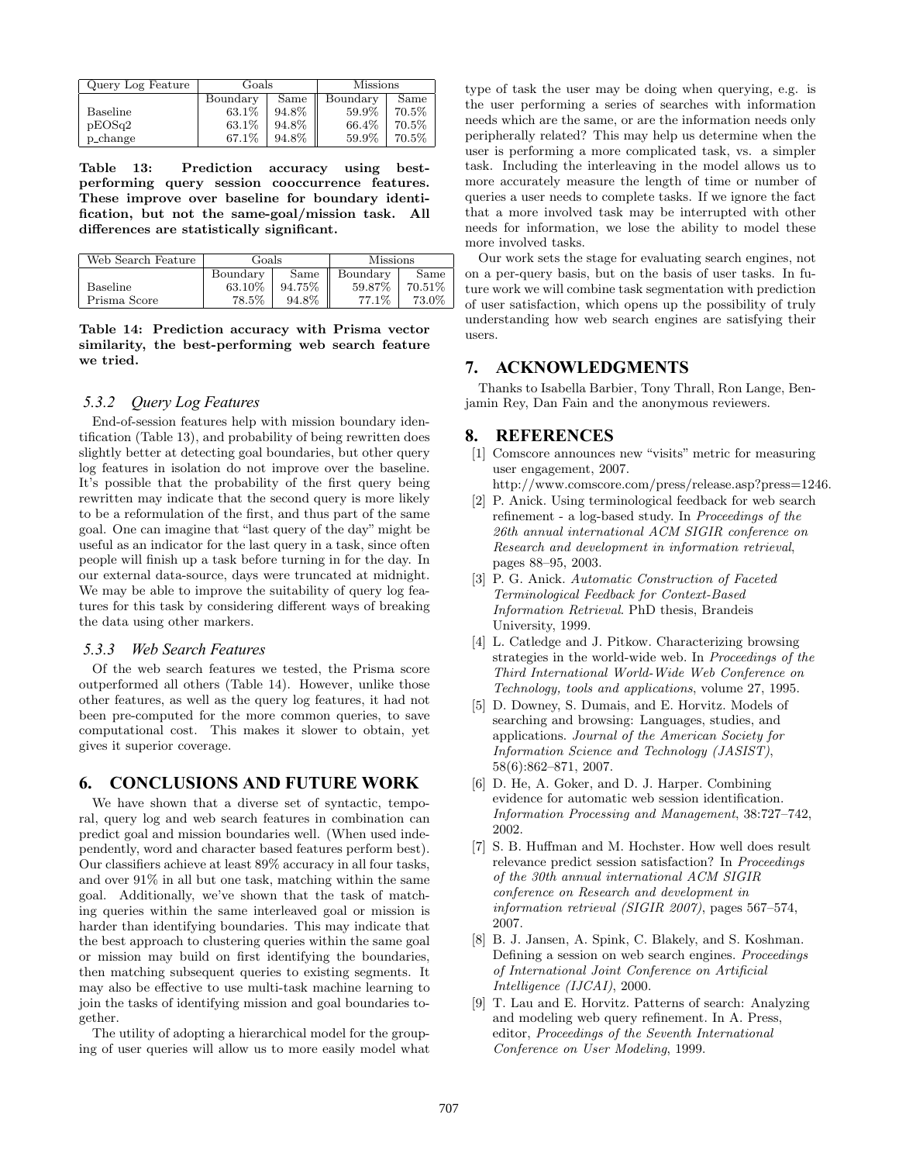| Query Log Feature | Goals    |       | <b>Missions</b> |       |
|-------------------|----------|-------|-----------------|-------|
|                   | Boundary | Same  | Boundary        | Same  |
| Baseline          | 63.1%    | 94.8% | 59.9%           | 70.5% |
| pEOSq2            | 63.1%    | 94.8% | $66.4\%$        | 70.5% |
| p_change          | 67.1%    | 94.8% | 59.9%           | 70.5% |

Table 13: Prediction accuracy using bestperforming query session cooccurrence features. These improve over baseline for boundary identification, but not the same-goal/mission task. All differences are statistically significant.

| Web Search Feature | Goals     |        | Missions |                       |
|--------------------|-----------|--------|----------|-----------------------|
|                    | Boundary  | Same   | Boundary | $\operatorname{Same}$ |
| Baseline           | $63.10\%$ | 94.75% | 59.87%   | 70.51\%               |
| Prisma Score       | 78.5%     | 94.8%  | 77.1\%   | 73.0%                 |

Table 14: Prediction accuracy with Prisma vector similarity, the best-performing web search feature we tried.

#### *5.3.2 Query Log Features*

End-of-session features help with mission boundary identification (Table 13), and probability of being rewritten does slightly better at detecting goal boundaries, but other query log features in isolation do not improve over the baseline. It's possible that the probability of the first query being rewritten may indicate that the second query is more likely to be a reformulation of the first, and thus part of the same goal. One can imagine that "last query of the day" might be useful as an indicator for the last query in a task, since often people will finish up a task before turning in for the day. In our external data-source, days were truncated at midnight. We may be able to improve the suitability of query log features for this task by considering different ways of breaking the data using other markers.

#### *5.3.3 Web Search Features*

Of the web search features we tested, the Prisma score outperformed all others (Table 14). However, unlike those other features, as well as the query log features, it had not been pre-computed for the more common queries, to save computational cost. This makes it slower to obtain, yet gives it superior coverage.

#### **6. CONCLUSIONS AND FUTURE WORK**

We have shown that a diverse set of syntactic, temporal, query log and web search features in combination can predict goal and mission boundaries well. (When used independently, word and character based features perform best). Our classifiers achieve at least 89% accuracy in all four tasks, and over 91% in all but one task, matching within the same goal. Additionally, we've shown that the task of matching queries within the same interleaved goal or mission is harder than identifying boundaries. This may indicate that the best approach to clustering queries within the same goal or mission may build on first identifying the boundaries, then matching subsequent queries to existing segments. It may also be effective to use multi-task machine learning to join the tasks of identifying mission and goal boundaries together.

The utility of adopting a hierarchical model for the grouping of user queries will allow us to more easily model what type of task the user may be doing when querying, e.g. is the user performing a series of searches with information needs which are the same, or are the information needs only peripherally related? This may help us determine when the user is performing a more complicated task, vs. a simpler task. Including the interleaving in the model allows us to more accurately measure the length of time or number of queries a user needs to complete tasks. If we ignore the fact that a more involved task may be interrupted with other needs for information, we lose the ability to model these more involved tasks.

Our work sets the stage for evaluating search engines, not on a per-query basis, but on the basis of user tasks. In future work we will combine task segmentation with prediction of user satisfaction, which opens up the possibility of truly understanding how web search engines are satisfying their users.

## **7. ACKNOWLEDGMENTS**

Thanks to Isabella Barbier, Tony Thrall, Ron Lange, Benjamin Rey, Dan Fain and the anonymous reviewers.

## **8. REFERENCES**

- [1] Comscore announces new "visits" metric for measuring user engagement, 2007. http://www.comscore.com/press/release.asp?press=1246.
- [2] P. Anick. Using terminological feedback for web search refinement - a log-based study. In Proceedings of the 26th annual international ACM SIGIR conference on Research and development in information retrieval, pages 88–95, 2003.
- [3] P. G. Anick. Automatic Construction of Faceted Terminological Feedback for Context-Based Information Retrieval. PhD thesis, Brandeis University, 1999.
- [4] L. Catledge and J. Pitkow. Characterizing browsing strategies in the world-wide web. In Proceedings of the Third International World-Wide Web Conference on Technology, tools and applications, volume 27, 1995.
- [5] D. Downey, S. Dumais, and E. Horvitz. Models of searching and browsing: Languages, studies, and applications. Journal of the American Society for Information Science and Technology (JASIST), 58(6):862–871, 2007.
- [6] D. He, A. Goker, and D. J. Harper. Combining evidence for automatic web session identification. Information Processing and Management, 38:727–742, 2002.
- [7] S. B. Huffman and M. Hochster. How well does result relevance predict session satisfaction? In Proceedings of the 30th annual international ACM SIGIR conference on Research and development in information retrieval (SIGIR 2007), pages 567–574, 2007.
- [8] B. J. Jansen, A. Spink, C. Blakely, and S. Koshman. Defining a session on web search engines. Proceedings of International Joint Conference on Artificial Intelligence (IJCAI), 2000.
- [9] T. Lau and E. Horvitz. Patterns of search: Analyzing and modeling web query refinement. In A. Press, editor, Proceedings of the Seventh International Conference on User Modeling, 1999.